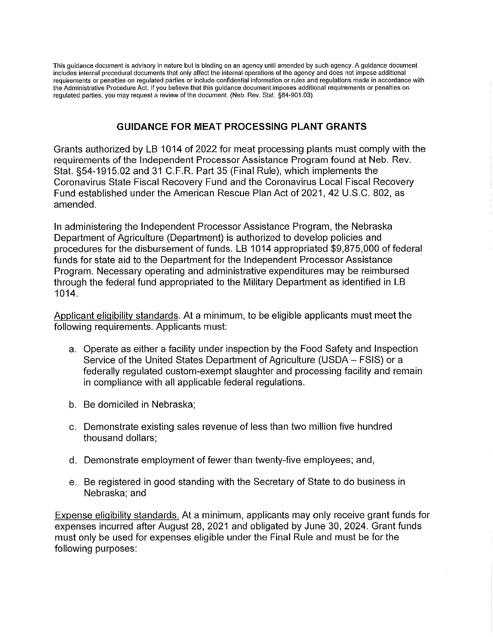This guidance document is advisory in nature but is binding on an agency until amended by such agency. A guidance document includes internal procedural documents that oniy affect the internal operations of the agency and does not impose additional requirements or penalties on regulated parties or include confidential information or rules and regulations made in accordance with the Administrative Procedure Act. If you believe that this guidance document imposes additional requirements or penalties on regulated parties, you may request a review of the document. (Neb. Rev. Stat. §84-901.03)

## GUIDANCE FOR MEAT PROCESSING PLANT GRANTS

Grants authorized by LB 1014 of 2022 for meat processing plants must comply with the requirements of the Independent Processor Assistance Program found at Neb. Rev. Stat. §54-1915.02 and 31 C.F.R. Part 35 (Final Rule), which implements the Coronavirus State Fiscal Recovery Fund and the Coronavirus Local Fiscal Recovery Fund established under the American Rescue Plan Act of 2021, 42 U.S.C. 802, as amended.

In administering the Independent Processor Assistance Program, the Nebraska Department of Agriculture (Department) is authorized to develop policies and procedures for the disbursement of funds. LB 1014 appropriated \$9,875,000 of federal funds for state aid to the Department for the Independent Processor Assistance Program. Necessary operating and administrative expenditures may be reimbursed through the federal fund appropriated to the Military Department as identified in LB 1014.

Applicant eligibility standards. At a minimum, to be eligible applicants must meet the following requirements. Applicants must:

- a. Operate as either a facility under inspection by the Food Safety and Inspection Service of the United States Department of Agriculture (USDA - FSIS) or a federally regulated custom-exempt slaughter and processing facility and remain in compliance with all applicable federal regulations.
- b. Be domiciled in Nebraska;
- c. Demonstrate existing sales revenue of less than two million five hundred thousand dollars;
- d. Demonstrate employment of fewer than twenty-five employees; and,
- e. Be registered in good standing with the Secretary of State to do business in Nebraska; and

Expense eligibility standards. At a minimum, applicants may only receive grant funds for expenses incurred after August 28, 2021 and obligated by June 30, 2024. Grant funds must only be used for expenses eligible under the Final Rule and must be for the following purposes: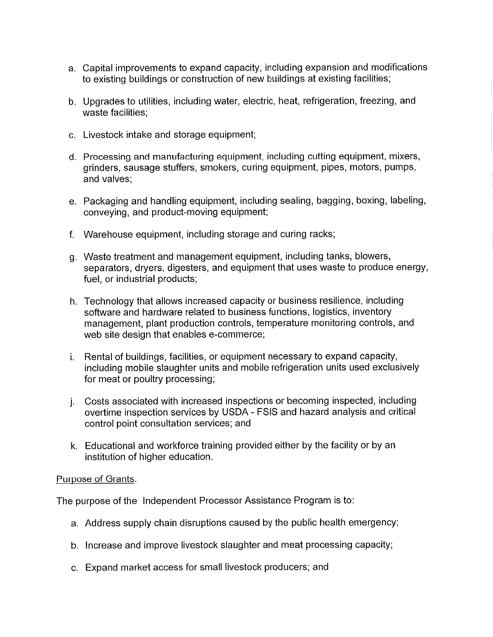- a. Capital improvements to expand capacity, including expansion and modifications to existing buildings or construction of new buildings at existing facilities;
- b. Upgrades to utilities, including water, electric, heat, refrigeration, freezing, and waste facilities:
- c. Livestock intake and storage equipment;
- d. Processing and manufacturing equipment, including cutting equipment, mixers, grinders, sausage stuffers, smokers, curing equipment, pipes, motors, pumps, and valves;
- e. Packaging and handling equipment, including sealing, bagging, boxing, labeling, conveying, and product-moving equipment;
- f. Warehouse equipment, including storage and curing racks;
- g. Waste treatment and management equipment, including tanks, blowers, separators, dryers, digesters, and equipment that uses waste to produce energy, fuel, or industrial products;
- h. Technology that allows increased capacity or business resilience, including software and hardware related to business functions, logistics, inventory management, plant production controls, temperature monitoring controls, and web site design that enables e-commerce;
- i. Rental of buildings, facilities, or equipment necessary to expand capacity, including mobile slaughter units and mobile refrigeration units used exclusively for meat or poultry processing;
- j. Costs associated with increased inspections or becoming inspected, including overtime inspection services by USDA - FSIS and hazard analysis and critical control point consultation services; and
- k. Educational and workforce training provided either by the facility or by an institution of higher education.

## Purpose of Grants.

The purpose of the Independent Processor Assistance Program is to:

- a. Address supply chain disruptions caused by the public health emergency;
- b. increase and improve livestock slaughter and meat processing capacity;
- c. Expand market access for small livestock producers; and